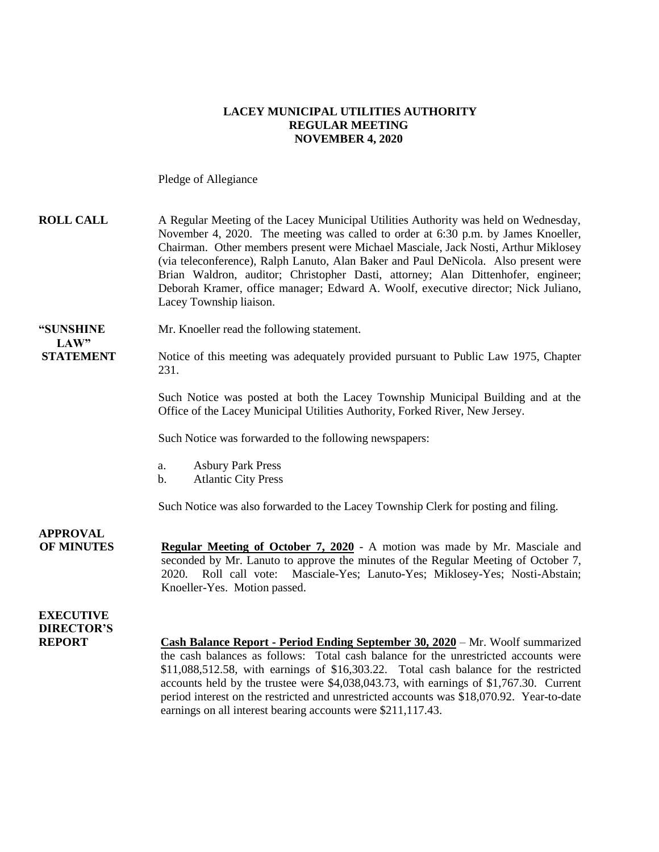### **LACEY MUNICIPAL UTILITIES AUTHORITY REGULAR MEETING NOVEMBER 4, 2020**

Pledge of Allegiance

| <b>ROLL CALL</b>                                       | A Regular Meeting of the Lacey Municipal Utilities Authority was held on Wednesday,<br>November 4, 2020. The meeting was called to order at 6:30 p.m. by James Knoeller,<br>Chairman. Other members present were Michael Masciale, Jack Nosti, Arthur Miklosey<br>(via teleconference), Ralph Lanuto, Alan Baker and Paul DeNicola. Also present were<br>Brian Waldron, auditor; Christopher Dasti, attorney; Alan Dittenhofer, engineer;<br>Deborah Kramer, office manager; Edward A. Woolf, executive director; Nick Juliano,<br>Lacey Township liaison. |
|--------------------------------------------------------|------------------------------------------------------------------------------------------------------------------------------------------------------------------------------------------------------------------------------------------------------------------------------------------------------------------------------------------------------------------------------------------------------------------------------------------------------------------------------------------------------------------------------------------------------------|
| "SUNSHINE                                              | Mr. Knoeller read the following statement.                                                                                                                                                                                                                                                                                                                                                                                                                                                                                                                 |
| LAW"<br><b>STATEMENT</b>                               | Notice of this meeting was adequately provided pursuant to Public Law 1975, Chapter<br>231.                                                                                                                                                                                                                                                                                                                                                                                                                                                                |
|                                                        | Such Notice was posted at both the Lacey Township Municipal Building and at the<br>Office of the Lacey Municipal Utilities Authority, Forked River, New Jersey.                                                                                                                                                                                                                                                                                                                                                                                            |
|                                                        | Such Notice was forwarded to the following newspapers:                                                                                                                                                                                                                                                                                                                                                                                                                                                                                                     |
|                                                        | <b>Asbury Park Press</b><br>a.<br><b>Atlantic City Press</b><br>b.                                                                                                                                                                                                                                                                                                                                                                                                                                                                                         |
|                                                        | Such Notice was also forwarded to the Lacey Township Clerk for posting and filing.                                                                                                                                                                                                                                                                                                                                                                                                                                                                         |
| <b>APPROVAL</b><br><b>OF MINUTES</b>                   | <b>Regular Meeting of October 7, 2020</b> - A motion was made by Mr. Masciale and<br>seconded by Mr. Lanuto to approve the minutes of the Regular Meeting of October 7,<br>2020. Roll call vote: Masciale-Yes; Lanuto-Yes; Miklosey-Yes; Nosti-Abstain;<br>Knoeller-Yes. Motion passed.                                                                                                                                                                                                                                                                    |
| <b>EXECUTIVE</b><br><b>DIRECTOR'S</b><br><b>REPORT</b> | Cash Balance Report - Period Ending September 30, 2020 – Mr. Woolf summarized<br>the cash balances as follows: Total cash balance for the unrestricted accounts were<br>\$11,088,512.58, with earnings of \$16,303.22. Total cash balance for the restricted<br>accounts held by the trustee were \$4,038,043.73, with earnings of \$1,767.30. Current                                                                                                                                                                                                     |

earnings on all interest bearing accounts were \$211,117.43.

period interest on the restricted and unrestricted accounts was \$18,070.92. Year-to-date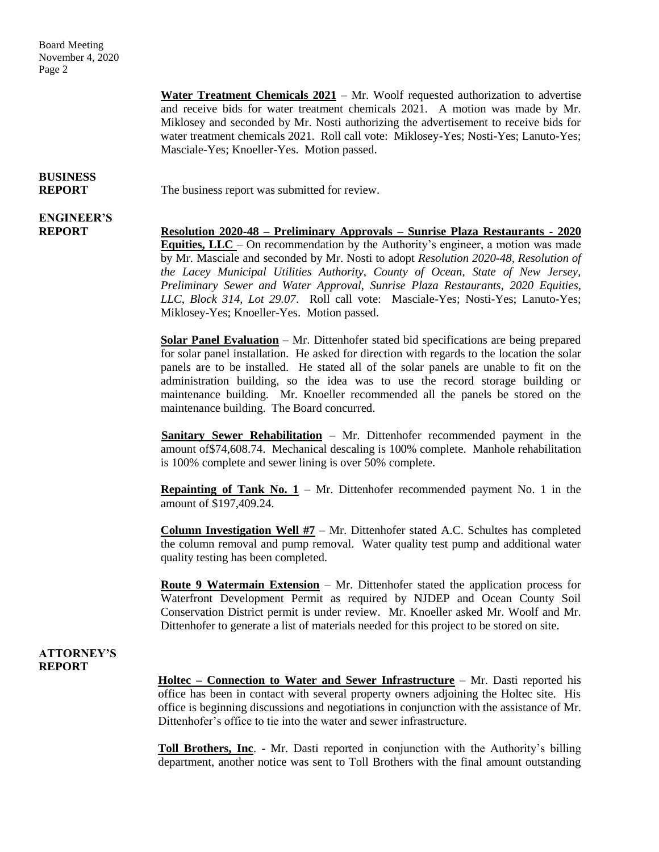Board Meeting November 4, 2020 Page 2

> **Water Treatment Chemicals 2021** – Mr. Woolf requested authorization to advertise and receive bids for water treatment chemicals 2021. A motion was made by Mr. Miklosey and seconded by Mr. Nosti authorizing the advertisement to receive bids for water treatment chemicals 2021. Roll call vote: Miklosey-Yes; Nosti-Yes; Lanuto-Yes; Masciale-Yes; Knoeller-Yes. Motion passed.

# **BUSINESS**

**ENGINEER'S**

**REPORT** The business report was submitted for review.

**REPORT Resolution 2020-48 – Preliminary Approvals – Sunrise Plaza Restaurants - 2020 Equities, LLC** – On recommendation by the Authority's engineer, a motion was made by Mr. Masciale and seconded by Mr. Nosti to adopt *Resolution 2020-48, Resolution of the Lacey Municipal Utilities Authority, County of Ocean, State of New Jersey, Preliminary Sewer and Water Approval, Sunrise Plaza Restaurants, 2020 Equities, LLC, Block 314, Lot 29.07*. Roll call vote: Masciale-Yes; Nosti-Yes; Lanuto-Yes; Miklosey-Yes; Knoeller-Yes. Motion passed.

> **Solar Panel Evaluation** – Mr. Dittenhofer stated bid specifications are being prepared for solar panel installation. He asked for direction with regards to the location the solar panels are to be installed. He stated all of the solar panels are unable to fit on the administration building, so the idea was to use the record storage building or maintenance building. Mr. Knoeller recommended all the panels be stored on the maintenance building. The Board concurred.

> **Sanitary Sewer Rehabilitation** – Mr. Dittenhofer recommended payment in the amount of\$74,608.74. Mechanical descaling is 100% complete. Manhole rehabilitation is 100% complete and sewer lining is over 50% complete.

> **Repainting of Tank No.**  $1 - Mr$ **.** Dittenhofer recommended payment No. 1 in the amount of \$197,409.24.

> **Column Investigation Well #7** – Mr. Dittenhofer stated A.C. Schultes has completed the column removal and pump removal. Water quality test pump and additional water quality testing has been completed.

> **Route 9 Watermain Extension** – Mr. Dittenhofer stated the application process for Waterfront Development Permit as required by NJDEP and Ocean County Soil Conservation District permit is under review. Mr. Knoeller asked Mr. Woolf and Mr. Dittenhofer to generate a list of materials needed for this project to be stored on site.

### **ATTORNEY'S REPORT**

**Holtec – Connection to Water and Sewer Infrastructure** – Mr. Dasti reported his office has been in contact with several property owners adjoining the Holtec site. His office is beginning discussions and negotiations in conjunction with the assistance of Mr. Dittenhofer's office to tie into the water and sewer infrastructure.

**Toll Brothers, Inc**. - Mr. Dasti reported in conjunction with the Authority's billing department, another notice was sent to Toll Brothers with the final amount outstanding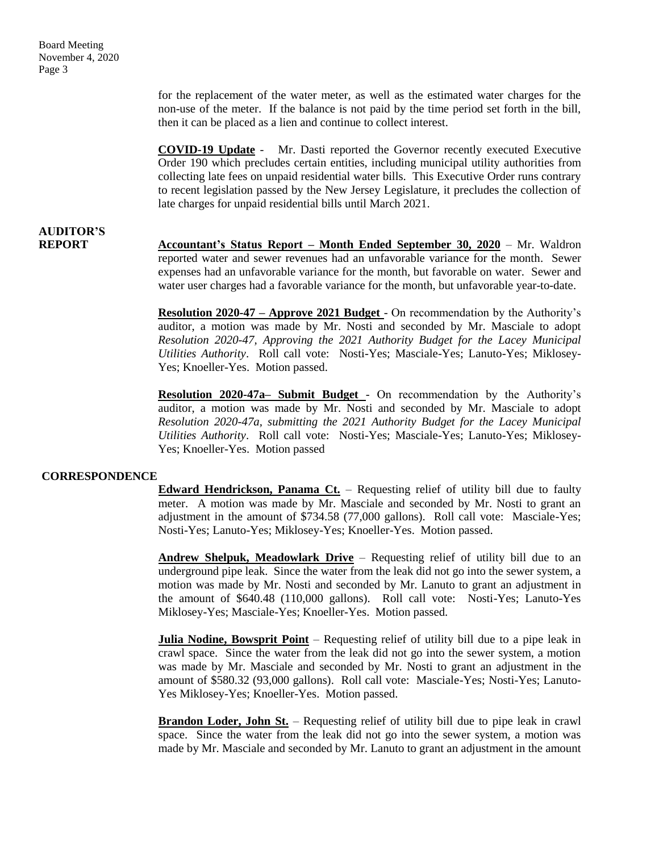for the replacement of the water meter, as well as the estimated water charges for the non-use of the meter. If the balance is not paid by the time period set forth in the bill, then it can be placed as a lien and continue to collect interest.

**COVID-19 Update** - Mr. Dasti reported the Governor recently executed Executive Order 190 which precludes certain entities, including municipal utility authorities from collecting late fees on unpaid residential water bills. This Executive Order runs contrary to recent legislation passed by the New Jersey Legislature, it precludes the collection of late charges for unpaid residential bills until March 2021.

## **AUDITOR'S**

**REPORT Accountant's Status Report – Month Ended September 30, 2020** – Mr. Waldron reported water and sewer revenues had an unfavorable variance for the month. Sewer expenses had an unfavorable variance for the month, but favorable on water. Sewer and water user charges had a favorable variance for the month, but unfavorable year-to-date.

> **Resolution 2020-47 – Approve 2021 Budget** - On recommendation by the Authority's auditor, a motion was made by Mr. Nosti and seconded by Mr. Masciale to adopt *Resolution 2020-47, Approving the 2021 Authority Budget for the Lacey Municipal Utilities Authority*. Roll call vote: Nosti-Yes; Masciale-Yes; Lanuto-Yes; Miklosey-Yes; Knoeller-Yes. Motion passed.

> **Resolution 2020-47a– Submit Budget** - On recommendation by the Authority's auditor, a motion was made by Mr. Nosti and seconded by Mr. Masciale to adopt *Resolution 2020-47a, submitting the 2021 Authority Budget for the Lacey Municipal Utilities Authority*. Roll call vote: Nosti-Yes; Masciale-Yes; Lanuto-Yes; Miklosey-Yes; Knoeller-Yes. Motion passed

#### **CORRESPONDENCE**

**Edward Hendrickson, Panama Ct.** – Requesting relief of utility bill due to faulty meter. A motion was made by Mr. Masciale and seconded by Mr. Nosti to grant an adjustment in the amount of \$734.58 (77,000 gallons). Roll call vote: Masciale-Yes; Nosti-Yes; Lanuto-Yes; Miklosey-Yes; Knoeller-Yes. Motion passed.

**Andrew Shelpuk, Meadowlark Drive** – Requesting relief of utility bill due to an underground pipe leak. Since the water from the leak did not go into the sewer system, a motion was made by Mr. Nosti and seconded by Mr. Lanuto to grant an adjustment in the amount of \$640.48 (110,000 gallons). Roll call vote: Nosti-Yes; Lanuto-Yes Miklosey-Yes; Masciale-Yes; Knoeller-Yes. Motion passed.

**Julia Nodine, Bowsprit Point** – Requesting relief of utility bill due to a pipe leak in crawl space. Since the water from the leak did not go into the sewer system, a motion was made by Mr. Masciale and seconded by Mr. Nosti to grant an adjustment in the amount of \$580.32 (93,000 gallons). Roll call vote: Masciale-Yes; Nosti-Yes; Lanuto-Yes Miklosey-Yes; Knoeller-Yes. Motion passed.

**Brandon Loder, John St.** – Requesting relief of utility bill due to pipe leak in crawl space. Since the water from the leak did not go into the sewer system, a motion was made by Mr. Masciale and seconded by Mr. Lanuto to grant an adjustment in the amount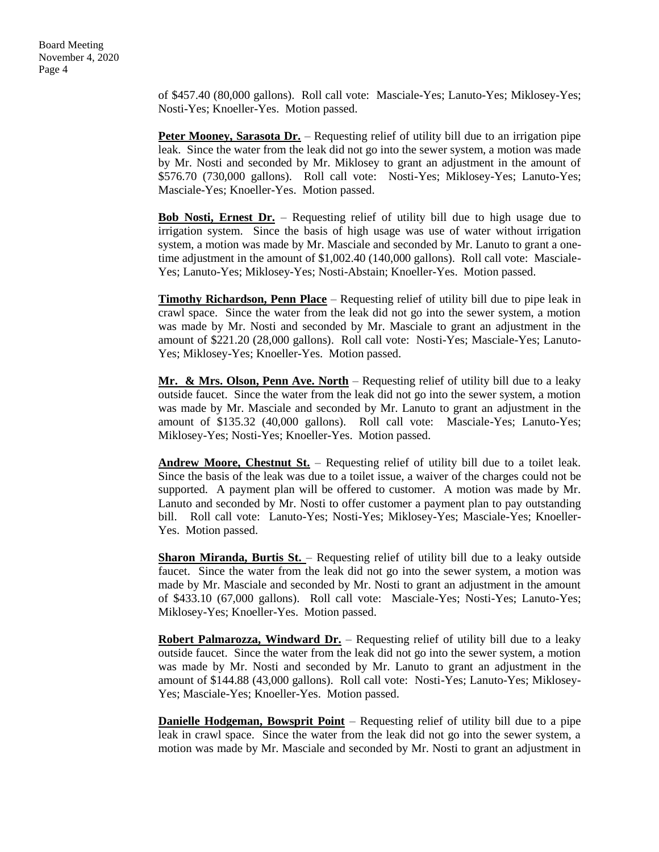of \$457.40 (80,000 gallons). Roll call vote: Masciale-Yes; Lanuto-Yes; Miklosey-Yes; Nosti-Yes; Knoeller-Yes. Motion passed.

**Peter Mooney, Sarasota Dr.** – Requesting relief of utility bill due to an irrigation pipe leak. Since the water from the leak did not go into the sewer system, a motion was made by Mr. Nosti and seconded by Mr. Miklosey to grant an adjustment in the amount of \$576.70 (730,000 gallons). Roll call vote: Nosti-Yes; Miklosey-Yes; Lanuto-Yes; Masciale-Yes; Knoeller-Yes. Motion passed.

**Bob Nosti, Ernest Dr.** – Requesting relief of utility bill due to high usage due to irrigation system. Since the basis of high usage was use of water without irrigation system, a motion was made by Mr. Masciale and seconded by Mr. Lanuto to grant a onetime adjustment in the amount of \$1,002.40 (140,000 gallons). Roll call vote: Masciale-Yes; Lanuto-Yes; Miklosey-Yes; Nosti-Abstain; Knoeller-Yes. Motion passed.

**Timothy Richardson, Penn Place** – Requesting relief of utility bill due to pipe leak in crawl space. Since the water from the leak did not go into the sewer system, a motion was made by Mr. Nosti and seconded by Mr. Masciale to grant an adjustment in the amount of \$221.20 (28,000 gallons). Roll call vote: Nosti-Yes; Masciale-Yes; Lanuto-Yes; Miklosey-Yes; Knoeller-Yes. Motion passed.

**Mr. & Mrs. Olson, Penn Ave. North** – Requesting relief of utility bill due to a leaky outside faucet. Since the water from the leak did not go into the sewer system, a motion was made by Mr. Masciale and seconded by Mr. Lanuto to grant an adjustment in the amount of \$135.32 (40,000 gallons). Roll call vote: Masciale-Yes; Lanuto-Yes; Miklosey-Yes; Nosti-Yes; Knoeller-Yes. Motion passed.

**Andrew Moore, Chestnut St.** – Requesting relief of utility bill due to a toilet leak. Since the basis of the leak was due to a toilet issue, a waiver of the charges could not be supported. A payment plan will be offered to customer. A motion was made by Mr. Lanuto and seconded by Mr. Nosti to offer customer a payment plan to pay outstanding bill. Roll call vote: Lanuto-Yes; Nosti-Yes; Miklosey-Yes; Masciale-Yes; Knoeller-Yes. Motion passed.

**Sharon Miranda, Burtis St.** – Requesting relief of utility bill due to a leaky outside faucet. Since the water from the leak did not go into the sewer system, a motion was made by Mr. Masciale and seconded by Mr. Nosti to grant an adjustment in the amount of \$433.10 (67,000 gallons). Roll call vote: Masciale-Yes; Nosti-Yes; Lanuto-Yes; Miklosey-Yes; Knoeller-Yes. Motion passed.

**Robert Palmarozza, Windward Dr.** – Requesting relief of utility bill due to a leaky outside faucet. Since the water from the leak did not go into the sewer system, a motion was made by Mr. Nosti and seconded by Mr. Lanuto to grant an adjustment in the amount of \$144.88 (43,000 gallons). Roll call vote: Nosti-Yes; Lanuto-Yes; Miklosey-Yes; Masciale-Yes; Knoeller-Yes. Motion passed.

**Danielle Hodgeman, Bowsprit Point** – Requesting relief of utility bill due to a pipe leak in crawl space. Since the water from the leak did not go into the sewer system, a motion was made by Mr. Masciale and seconded by Mr. Nosti to grant an adjustment in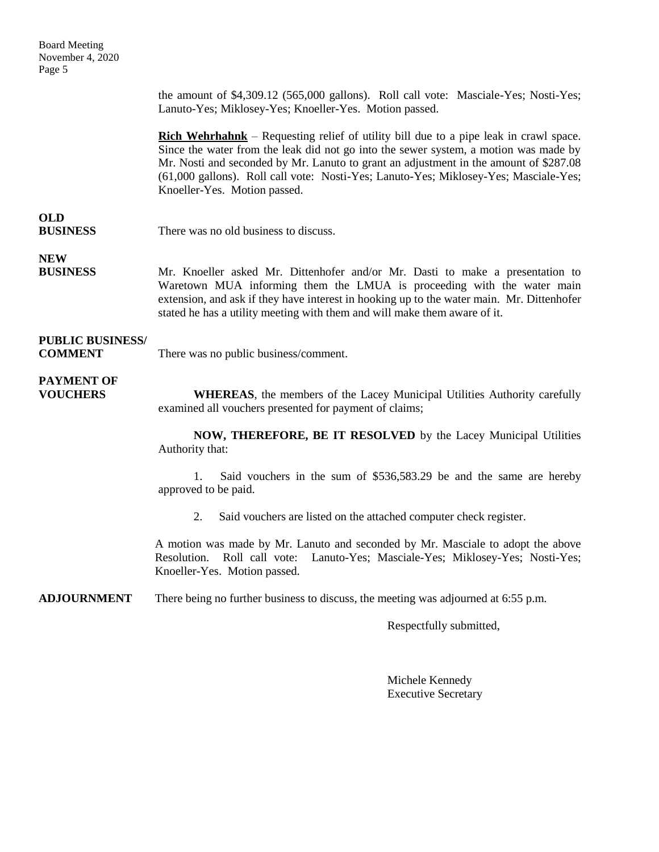| <b>Board Meeting</b><br>November 4, 2020<br>Page 5 |                                                                                                                                                                                                                                                                                                                                                                                                       |
|----------------------------------------------------|-------------------------------------------------------------------------------------------------------------------------------------------------------------------------------------------------------------------------------------------------------------------------------------------------------------------------------------------------------------------------------------------------------|
|                                                    | the amount of \$4,309.12 (565,000 gallons). Roll call vote: Masciale-Yes; Nosti-Yes;<br>Lanuto-Yes; Miklosey-Yes; Knoeller-Yes. Motion passed.                                                                                                                                                                                                                                                        |
|                                                    | <b>Rich Wehrhahnk</b> – Requesting relief of utility bill due to a pipe leak in crawl space.<br>Since the water from the leak did not go into the sewer system, a motion was made by<br>Mr. Nosti and seconded by Mr. Lanuto to grant an adjustment in the amount of \$287.08<br>(61,000 gallons). Roll call vote: Nosti-Yes; Lanuto-Yes; Miklosey-Yes; Masciale-Yes;<br>Knoeller-Yes. Motion passed. |
| <b>OLD</b><br><b>BUSINESS</b>                      | There was no old business to discuss.                                                                                                                                                                                                                                                                                                                                                                 |
| <b>NEW</b><br><b>BUSINESS</b>                      | Mr. Knoeller asked Mr. Dittenhofer and/or Mr. Dasti to make a presentation to<br>Waretown MUA informing them the LMUA is proceeding with the water main<br>extension, and ask if they have interest in hooking up to the water main. Mr. Dittenhofer<br>stated he has a utility meeting with them and will make them aware of it.                                                                     |
| <b>PUBLIC BUSINESS/</b><br><b>COMMENT</b>          | There was no public business/comment.                                                                                                                                                                                                                                                                                                                                                                 |
| <b>PAYMENT OF</b><br><b>VOUCHERS</b>               | <b>WHEREAS</b> , the members of the Lacey Municipal Utilities Authority carefully<br>examined all vouchers presented for payment of claims;                                                                                                                                                                                                                                                           |
|                                                    | NOW, THEREFORE, BE IT RESOLVED by the Lacey Municipal Utilities<br>Authority that:                                                                                                                                                                                                                                                                                                                    |
|                                                    | Said vouchers in the sum of \$536,583.29 be and the same are hereby<br>1.<br>approved to be paid.                                                                                                                                                                                                                                                                                                     |
|                                                    | 2. Said vouchers are listed on the attached computer check register.                                                                                                                                                                                                                                                                                                                                  |
|                                                    | A motion was made by Mr. Lanuto and seconded by Mr. Masciale to adopt the above<br>Roll call vote: Lanuto-Yes; Masciale-Yes; Miklosey-Yes; Nosti-Yes;<br>Resolution.<br>Knoeller-Yes. Motion passed.                                                                                                                                                                                                  |
| <b>ADJOURNMENT</b>                                 | There being no further business to discuss, the meeting was adjourned at 6:55 p.m.                                                                                                                                                                                                                                                                                                                    |

Respectfully submitted,

Michele Kennedy Executive Secretary